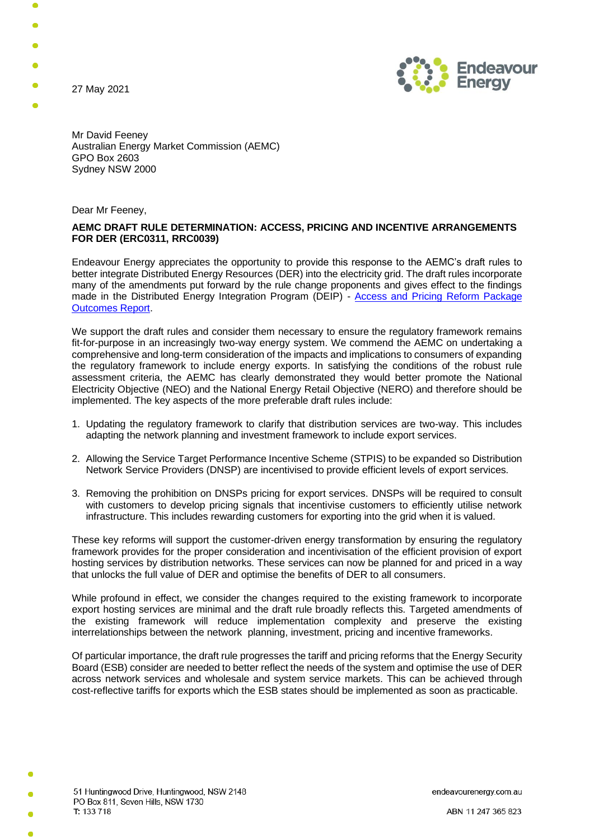27 May 2021



Mr David Feeney Australian Energy Market Commission (AEMC) GPO Box 2603 Sydney NSW 2000

Dear Mr Feeney,

## **AEMC DRAFT RULE DETERMINATION: ACCESS, PRICING AND INCENTIVE ARRANGEMENTS FOR DER (ERC0311, RRC0039)**

Endeavour Energy appreciates the opportunity to provide this response to the AEMC's draft rules to better integrate Distributed Energy Resources (DER) into the electricity grid. The draft rules incorporate many of the amendments put forward by the rule change proponents and gives effect to the findings made in the Distributed Energy Integration Program (DEIP) - [Access and Pricing Reform Package](https://arena.gov.au/assets/2020/07/deip-access-pricing-reform-package-outcomes.pdf)  [Outcomes Report.](https://arena.gov.au/assets/2020/07/deip-access-pricing-reform-package-outcomes.pdf)

We support the draft rules and consider them necessary to ensure the regulatory framework remains fit-for-purpose in an increasingly two-way energy system. We commend the AEMC on undertaking a comprehensive and long-term consideration of the impacts and implications to consumers of expanding the regulatory framework to include energy exports. In satisfying the conditions of the robust rule assessment criteria, the AEMC has clearly demonstrated they would better promote the National Electricity Objective (NEO) and the National Energy Retail Objective (NERO) and therefore should be implemented. The key aspects of the more preferable draft rules include:

- 1. Updating the regulatory framework to clarify that distribution services are two-way. This includes adapting the network planning and investment framework to include export services.
- 2. Allowing the Service Target Performance Incentive Scheme (STPIS) to be expanded so Distribution Network Service Providers (DNSP) are incentivised to provide efficient levels of export services.
- 3. Removing the prohibition on DNSPs pricing for export services. DNSPs will be required to consult with customers to develop pricing signals that incentivise customers to efficiently utilise network infrastructure. This includes rewarding customers for exporting into the grid when it is valued.

These key reforms will support the customer-driven energy transformation by ensuring the regulatory framework provides for the proper consideration and incentivisation of the efficient provision of export hosting services by distribution networks. These services can now be planned for and priced in a way that unlocks the full value of DER and optimise the benefits of DER to all consumers.

While profound in effect, we consider the changes required to the existing framework to incorporate export hosting services are minimal and the draft rule broadly reflects this. Targeted amendments of the existing framework will reduce implementation complexity and preserve the existing interrelationships between the network planning, investment, pricing and incentive frameworks.

Of particular importance, the draft rule progresses the tariff and pricing reforms that the Energy Security Board (ESB) consider are needed to better reflect the needs of the system and optimise the use of DER across network services and wholesale and system service markets. This can be achieved through cost-reflective tariffs for exports which the ESB states should be implemented as soon as practicable.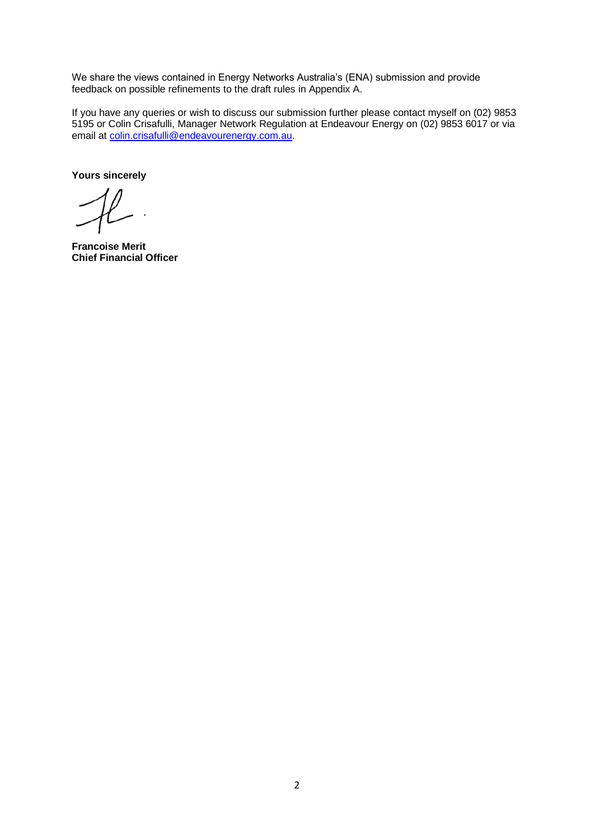We share the views contained in Energy Networks Australia's (ENA) submission and provide feedback on possible refinements to the draft rules in Appendix A.

If you have any queries or wish to discuss our submission further please contact myself on (02) 9853 5195 or Colin Crisafulli, Manager Network Regulation at Endeavour Energy on (02) 9853 6017 or via email at [colin.crisafulli@endeavourenergy.com.au.](mailto:colin.crisafulli@endeavourenergy.com.au)

**Yours sincerely**

**Francoise Merit Chief Financial Officer**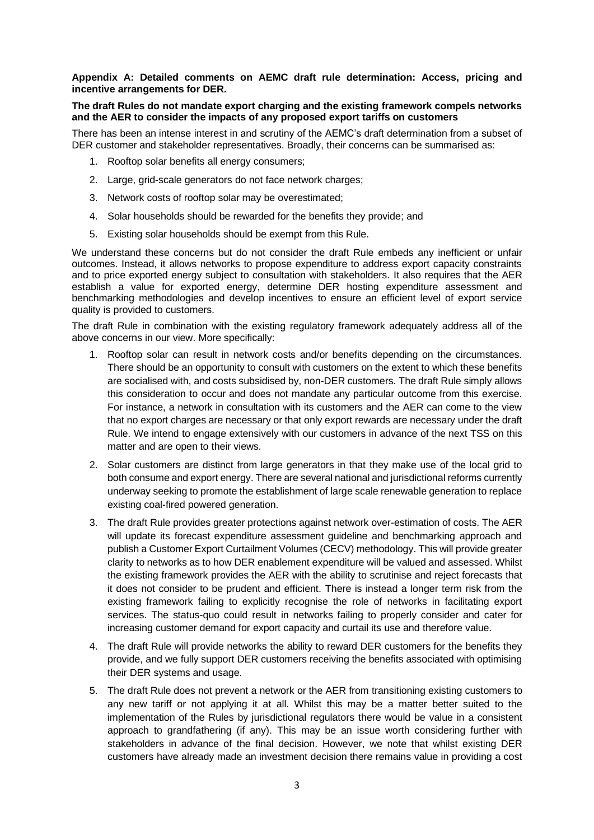# **Appendix A: Detailed comments on AEMC draft rule determination: Access, pricing and incentive arrangements for DER.**

## **The draft Rules do not mandate export charging and the existing framework compels networks and the AER to consider the impacts of any proposed export tariffs on customers**

There has been an intense interest in and scrutiny of the AEMC's draft determination from a subset of DER customer and stakeholder representatives. Broadly, their concerns can be summarised as:

- 1. Rooftop solar benefits all energy consumers;
- 2. Large, grid-scale generators do not face network charges;
- 3. Network costs of rooftop solar may be overestimated;
- 4. Solar households should be rewarded for the benefits they provide; and
- 5. Existing solar households should be exempt from this Rule.

We understand these concerns but do not consider the draft Rule embeds any inefficient or unfair outcomes. Instead, it allows networks to propose expenditure to address export capacity constraints and to price exported energy subject to consultation with stakeholders. It also requires that the AER establish a value for exported energy, determine DER hosting expenditure assessment and benchmarking methodologies and develop incentives to ensure an efficient level of export service quality is provided to customers.

The draft Rule in combination with the existing regulatory framework adequately address all of the above concerns in our view. More specifically:

- 1. Rooftop solar can result in network costs and/or benefits depending on the circumstances. There should be an opportunity to consult with customers on the extent to which these benefits are socialised with, and costs subsidised by, non-DER customers. The draft Rule simply allows this consideration to occur and does not mandate any particular outcome from this exercise. For instance, a network in consultation with its customers and the AER can come to the view that no export charges are necessary or that only export rewards are necessary under the draft Rule. We intend to engage extensively with our customers in advance of the next TSS on this matter and are open to their views.
- 2. Solar customers are distinct from large generators in that they make use of the local grid to both consume and export energy. There are several national and jurisdictional reforms currently underway seeking to promote the establishment of large scale renewable generation to replace existing coal-fired powered generation.
- 3. The draft Rule provides greater protections against network over-estimation of costs. The AER will update its forecast expenditure assessment guideline and benchmarking approach and publish a Customer Export Curtailment Volumes (CECV) methodology. This will provide greater clarity to networks as to how DER enablement expenditure will be valued and assessed. Whilst the existing framework provides the AER with the ability to scrutinise and reject forecasts that it does not consider to be prudent and efficient. There is instead a longer term risk from the existing framework failing to explicitly recognise the role of networks in facilitating export services. The status-quo could result in networks failing to properly consider and cater for increasing customer demand for export capacity and curtail its use and therefore value.
- 4. The draft Rule will provide networks the ability to reward DER customers for the benefits they provide, and we fully support DER customers receiving the benefits associated with optimising their DER systems and usage.
- 5. The draft Rule does not prevent a network or the AER from transitioning existing customers to any new tariff or not applying it at all. Whilst this may be a matter better suited to the implementation of the Rules by jurisdictional regulators there would be value in a consistent approach to grandfathering (if any). This may be an issue worth considering further with stakeholders in advance of the final decision. However, we note that whilst existing DER customers have already made an investment decision there remains value in providing a cost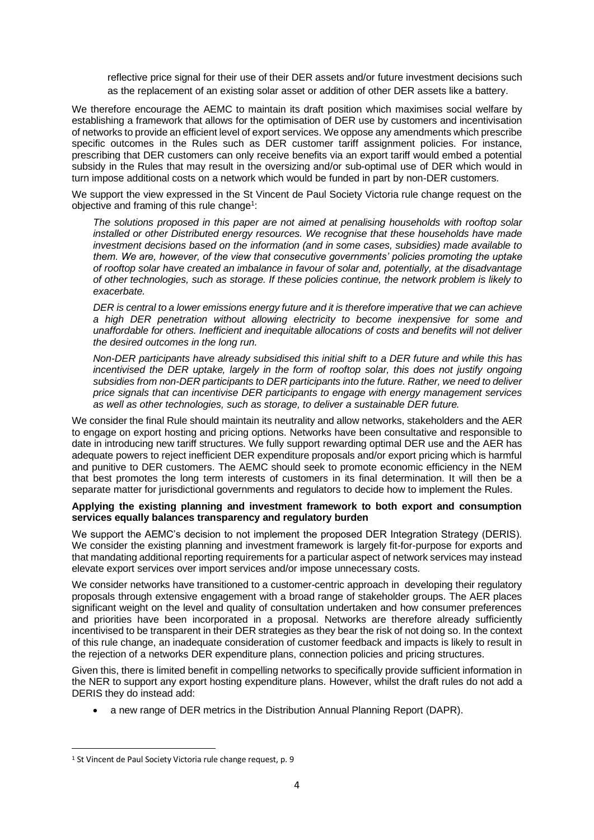reflective price signal for their use of their DER assets and/or future investment decisions such as the replacement of an existing solar asset or addition of other DER assets like a battery.

We therefore encourage the AEMC to maintain its draft position which maximises social welfare by establishing a framework that allows for the optimisation of DER use by customers and incentivisation of networks to provide an efficient level of export services. We oppose any amendments which prescribe specific outcomes in the Rules such as DER customer tariff assignment policies. For instance, prescribing that DER customers can only receive benefits via an export tariff would embed a potential subsidy in the Rules that may result in the oversizing and/or sub-optimal use of DER which would in turn impose additional costs on a network which would be funded in part by non-DER customers.

We support the view expressed in the St Vincent de Paul Society Victoria rule change request on the objective and framing of this rule change<sup>1</sup>:

*The solutions proposed in this paper are not aimed at penalising households with rooftop solar installed or other Distributed energy resources. We recognise that these households have made investment decisions based on the information (and in some cases, subsidies) made available to them. We are, however, of the view that consecutive governments' policies promoting the uptake of rooftop solar have created an imbalance in favour of solar and, potentially, at the disadvantage of other technologies, such as storage. If these policies continue, the network problem is likely to exacerbate.*

*DER is central to a lower emissions energy future and it is therefore imperative that we can achieve a high DER penetration without allowing electricity to become inexpensive for some and unaffordable for others. Inefficient and inequitable allocations of costs and benefits will not deliver the desired outcomes in the long run.*

*Non-DER participants have already subsidised this initial shift to a DER future and while this has incentivised the DER uptake, largely in the form of rooftop solar, this does not justify ongoing subsidies from non-DER participants to DER participants into the future. Rather, we need to deliver price signals that can incentivise DER participants to engage with energy management services as well as other technologies, such as storage, to deliver a sustainable DER future.*

We consider the final Rule should maintain its neutrality and allow networks, stakeholders and the AER to engage on export hosting and pricing options. Networks have been consultative and responsible to date in introducing new tariff structures. We fully support rewarding optimal DER use and the AER has adequate powers to reject inefficient DER expenditure proposals and/or export pricing which is harmful and punitive to DER customers. The AEMC should seek to promote economic efficiency in the NEM that best promotes the long term interests of customers in its final determination. It will then be a separate matter for jurisdictional governments and regulators to decide how to implement the Rules.

#### **Applying the existing planning and investment framework to both export and consumption services equally balances transparency and regulatory burden**

We support the AEMC's decision to not implement the proposed DER Integration Strategy (DERIS). We consider the existing planning and investment framework is largely fit-for-purpose for exports and that mandating additional reporting requirements for a particular aspect of network services may instead elevate export services over import services and/or impose unnecessary costs.

We consider networks have transitioned to a customer-centric approach in developing their regulatory proposals through extensive engagement with a broad range of stakeholder groups. The AER places significant weight on the level and quality of consultation undertaken and how consumer preferences and priorities have been incorporated in a proposal. Networks are therefore already sufficiently incentivised to be transparent in their DER strategies as they bear the risk of not doing so. In the context of this rule change, an inadequate consideration of customer feedback and impacts is likely to result in the rejection of a networks DER expenditure plans, connection policies and pricing structures.

Given this, there is limited benefit in compelling networks to specifically provide sufficient information in the NER to support any export hosting expenditure plans. However, whilst the draft rules do not add a DERIS they do instead add:

• a new range of DER metrics in the Distribution Annual Planning Report (DAPR).

<sup>&</sup>lt;sup>1</sup> St Vincent de Paul Society Victoria rule change request, p. 9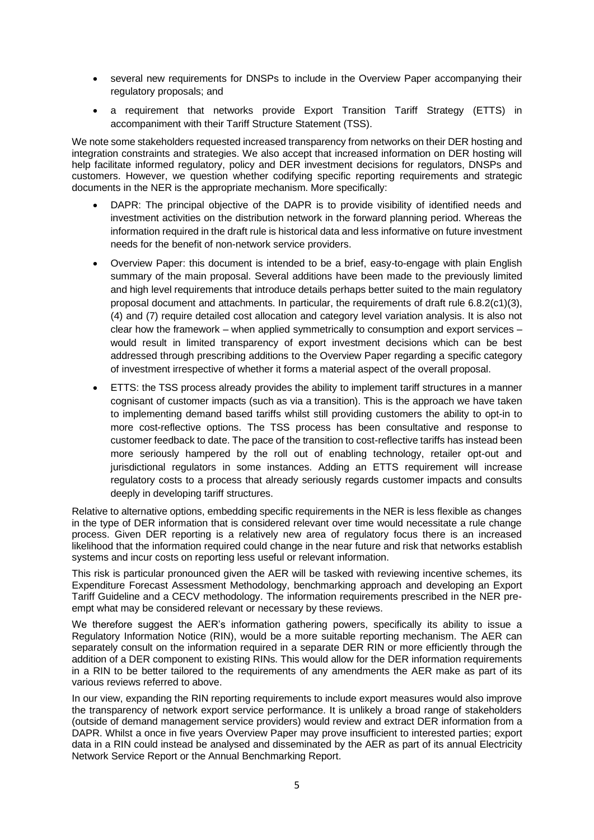- several new requirements for DNSPs to include in the Overview Paper accompanying their regulatory proposals; and
- a requirement that networks provide Export Transition Tariff Strategy (ETTS) in accompaniment with their Tariff Structure Statement (TSS).

We note some stakeholders requested increased transparency from networks on their DER hosting and integration constraints and strategies. We also accept that increased information on DER hosting will help facilitate informed regulatory, policy and DER investment decisions for regulators, DNSPs and customers. However, we question whether codifying specific reporting requirements and strategic documents in the NER is the appropriate mechanism. More specifically:

- DAPR: The principal objective of the DAPR is to provide visibility of identified needs and investment activities on the distribution network in the forward planning period. Whereas the information required in the draft rule is historical data and less informative on future investment needs for the benefit of non-network service providers.
- Overview Paper: this document is intended to be a brief, easy-to-engage with plain English summary of the main proposal. Several additions have been made to the previously limited and high level requirements that introduce details perhaps better suited to the main regulatory proposal document and attachments. In particular, the requirements of draft rule 6.8.2(c1)(3), (4) and (7) require detailed cost allocation and category level variation analysis. It is also not clear how the framework – when applied symmetrically to consumption and export services – would result in limited transparency of export investment decisions which can be best addressed through prescribing additions to the Overview Paper regarding a specific category of investment irrespective of whether it forms a material aspect of the overall proposal.
- ETTS: the TSS process already provides the ability to implement tariff structures in a manner cognisant of customer impacts (such as via a transition). This is the approach we have taken to implementing demand based tariffs whilst still providing customers the ability to opt-in to more cost-reflective options. The TSS process has been consultative and response to customer feedback to date. The pace of the transition to cost-reflective tariffs has instead been more seriously hampered by the roll out of enabling technology, retailer opt-out and jurisdictional regulators in some instances. Adding an ETTS requirement will increase regulatory costs to a process that already seriously regards customer impacts and consults deeply in developing tariff structures.

Relative to alternative options, embedding specific requirements in the NER is less flexible as changes in the type of DER information that is considered relevant over time would necessitate a rule change process. Given DER reporting is a relatively new area of regulatory focus there is an increased likelihood that the information required could change in the near future and risk that networks establish systems and incur costs on reporting less useful or relevant information.

This risk is particular pronounced given the AER will be tasked with reviewing incentive schemes, its Expenditure Forecast Assessment Methodology, benchmarking approach and developing an Export Tariff Guideline and a CECV methodology. The information requirements prescribed in the NER preempt what may be considered relevant or necessary by these reviews.

We therefore suggest the AER's information gathering powers, specifically its ability to issue a Regulatory Information Notice (RIN), would be a more suitable reporting mechanism. The AER can separately consult on the information required in a separate DER RIN or more efficiently through the addition of a DER component to existing RINs. This would allow for the DER information requirements in a RIN to be better tailored to the requirements of any amendments the AER make as part of its various reviews referred to above.

In our view, expanding the RIN reporting requirements to include export measures would also improve the transparency of network export service performance. It is unlikely a broad range of stakeholders (outside of demand management service providers) would review and extract DER information from a DAPR. Whilst a once in five years Overview Paper may prove insufficient to interested parties; export data in a RIN could instead be analysed and disseminated by the AER as part of its annual Electricity Network Service Report or the Annual Benchmarking Report.